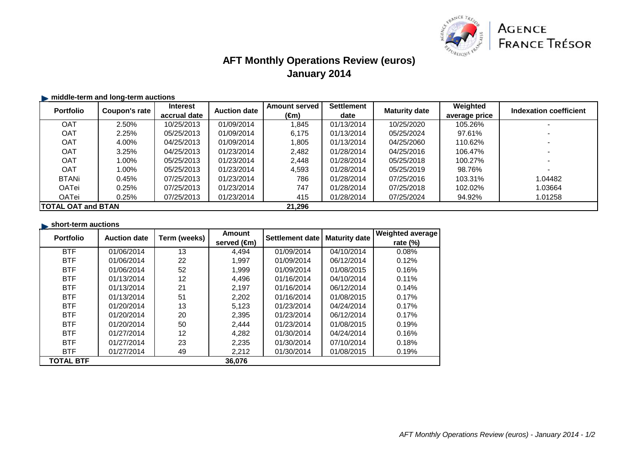

## **AFT Monthly Operations Review (euros)January 2014**

### $\blacktriangleright$  **middle-term and long-term auctions**

| <b>Portfolio</b>           | Coupon's rate | <b>Interest</b> | <b>Auction date</b> | <b>Amount served</b> | <b>Settlement</b> | <b>Maturity date</b> | Weighted      | Indexation coefficient |
|----------------------------|---------------|-----------------|---------------------|----------------------|-------------------|----------------------|---------------|------------------------|
|                            |               | accrual date    |                     | (€m)                 | date              |                      | average price |                        |
| <b>OAT</b>                 | 2.50%         | 10/25/2013      | 01/09/2014          | 1.845                | 01/13/2014        | 10/25/2020           | 105.26%       |                        |
| <b>OAT</b>                 | 2.25%         | 05/25/2013      | 01/09/2014          | 6,175                | 01/13/2014        | 05/25/2024           | 97.61%        |                        |
| <b>OAT</b>                 | 4.00%         | 04/25/2013      | 01/09/2014          | 1,805                | 01/13/2014        | 04/25/2060           | 110.62%       |                        |
| <b>OAT</b>                 | 3.25%         | 04/25/2013      | 01/23/2014          | 2.482                | 01/28/2014        | 04/25/2016           | 106.47%       |                        |
| <b>OAT</b>                 | 1.00%         | 05/25/2013      | 01/23/2014          | 2,448                | 01/28/2014        | 05/25/2018           | 100.27%       |                        |
| <b>OAT</b>                 | 1.00%         | 05/25/2013      | 01/23/2014          | 4,593                | 01/28/2014        | 05/25/2019           | 98.76%        |                        |
| <b>BTANi</b>               | 0.45%         | 07/25/2013      | 01/23/2014          | 786                  | 01/28/2014        | 07/25/2016           | 103.31%       | 1.04482                |
| OATei                      | 0.25%         | 07/25/2013      | 01/23/2014          | 747                  | 01/28/2014        | 07/25/2018           | 102.02%       | 1.03664                |
| OATei                      | 0.25%         | 07/25/2013      | 01/23/2014          | 415                  | 01/28/2014        | 07/25/2024           | 94.92%        | 1.01258                |
| <b>ITOTAL OAT and BTAN</b> |               |                 | 21,296              |                      |                   |                      |               |                        |

#### **short-term auctions**

| <b>Portfolio</b> | <b>Auction date</b> | Term (weeks) | Amount                | Settlement date | <b>Maturity date</b> | <b>Weighted average</b> |
|------------------|---------------------|--------------|-----------------------|-----------------|----------------------|-------------------------|
|                  |                     |              | served $(\epsilon m)$ |                 |                      | rate $(\%)$             |
| <b>BTF</b>       | 01/06/2014          | 13           | 4,494                 | 01/09/2014      | 04/10/2014           | 0.08%                   |
| <b>BTF</b>       | 01/06/2014          | 22           | 1,997                 | 01/09/2014      | 06/12/2014           | 0.12%                   |
| <b>BTF</b>       | 01/06/2014          | 52           | 1,999                 | 01/09/2014      | 01/08/2015           | 0.16%                   |
| <b>BTF</b>       | 01/13/2014          | 12           | 4,496                 | 01/16/2014      | 04/10/2014           | 0.11%                   |
| <b>BTF</b>       | 01/13/2014          | 21           | 2,197                 | 01/16/2014      | 06/12/2014           | 0.14%                   |
| <b>BTF</b>       | 01/13/2014          | 51           | 2,202                 | 01/16/2014      | 01/08/2015           | 0.17%                   |
| <b>BTF</b>       | 01/20/2014          | 13           | 5,123                 | 01/23/2014      | 04/24/2014           | 0.17%                   |
| <b>BTF</b>       | 01/20/2014          | 20           | 2,395                 | 01/23/2014      | 06/12/2014           | 0.17%                   |
| <b>BTF</b>       | 01/20/2014          | 50           | 2,444                 | 01/23/2014      | 01/08/2015           | 0.19%                   |
| <b>BTF</b>       | 01/27/2014          | 12           | 4,282                 | 01/30/2014      | 04/24/2014           | 0.16%                   |
| <b>BTF</b>       | 01/27/2014          | 23           | 2,235                 | 01/30/2014      | 07/10/2014           | 0.18%                   |
| <b>BTF</b>       | 01/27/2014          | 49           | 2,212                 | 01/30/2014      | 01/08/2015           | 0.19%                   |
| <b>TOTAL BTF</b> |                     |              | 36,076                |                 |                      |                         |